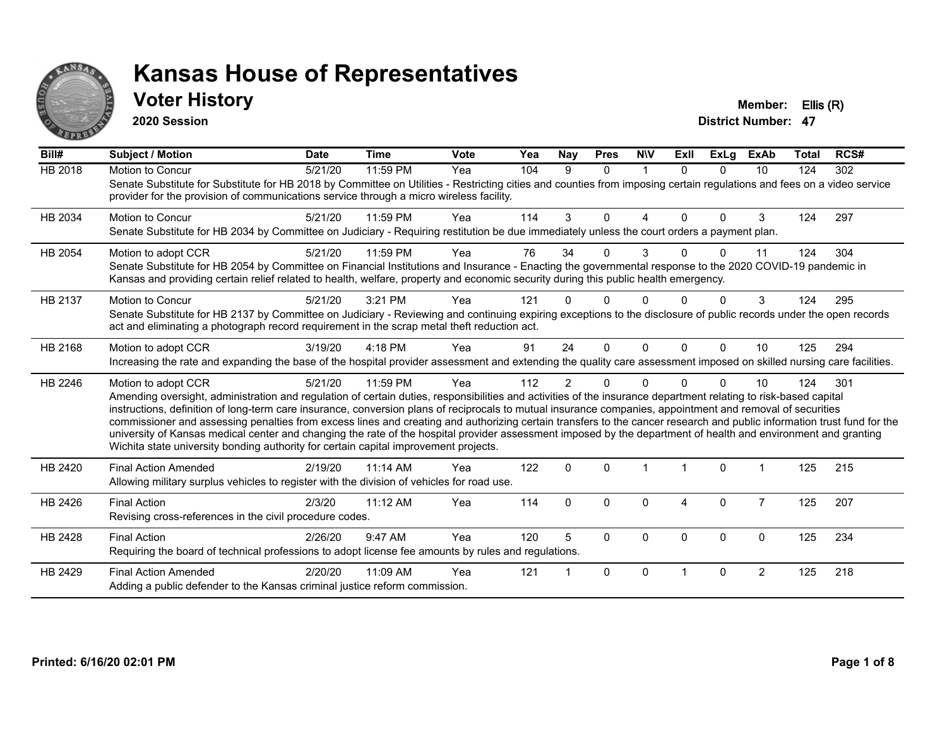

#### **Voter History Member: Ellis (R)**

**2020 Session**

| Bill#          | <b>Subject / Motion</b>                                                                                                                                                                                                                                                                                                                                                                                                                                                                                                                                                                                                                                                                                                                                                                  | <b>Date</b> | <b>Time</b> | <b>Vote</b> | Yea | Nay            | <b>Pres</b> | <b>NIV</b>   | ExII         | <b>ExLg</b>  | <b>ExAb</b>    | Total | RCS# |
|----------------|------------------------------------------------------------------------------------------------------------------------------------------------------------------------------------------------------------------------------------------------------------------------------------------------------------------------------------------------------------------------------------------------------------------------------------------------------------------------------------------------------------------------------------------------------------------------------------------------------------------------------------------------------------------------------------------------------------------------------------------------------------------------------------------|-------------|-------------|-------------|-----|----------------|-------------|--------------|--------------|--------------|----------------|-------|------|
| <b>HB 2018</b> | Motion to Concur<br>Senate Substitute for Substitute for HB 2018 by Committee on Utilities - Restricting cities and counties from imposing certain regulations and fees on a video service<br>provider for the provision of communications service through a micro wireless facility.                                                                                                                                                                                                                                                                                                                                                                                                                                                                                                    | 5/21/20     | 11:59 PM    | Yea         | 104 | 9              | $\Omega$    | $\mathbf{1}$ | $\Omega$     | $\Omega$     | 10             | 124   | 302  |
| HB 2034        | <b>Motion to Concur</b><br>Senate Substitute for HB 2034 by Committee on Judiciary - Requiring restitution be due immediately unless the court orders a payment plan.                                                                                                                                                                                                                                                                                                                                                                                                                                                                                                                                                                                                                    | 5/21/20     | 11:59 PM    | Yea         | 114 | 3              | $\Omega$    | 4            | $\Omega$     | $\Omega$     | 3              | 124   | 297  |
| HB 2054        | Motion to adopt CCR<br>Senate Substitute for HB 2054 by Committee on Financial Institutions and Insurance - Enacting the governmental response to the 2020 COVID-19 pandemic in<br>Kansas and providing certain relief related to health, welfare, property and economic security during this public health emergency.                                                                                                                                                                                                                                                                                                                                                                                                                                                                   | 5/21/20     | 11:59 PM    | Yea         | 76  | 34             | 0           | 3            | <sup>n</sup> | $\Omega$     | 11             | 124   | 304  |
| HB 2137        | Motion to Concur<br>Senate Substitute for HB 2137 by Committee on Judiciary - Reviewing and continuing expiring exceptions to the disclosure of public records under the open records<br>act and eliminating a photograph record requirement in the scrap metal theft reduction act.                                                                                                                                                                                                                                                                                                                                                                                                                                                                                                     | 5/21/20     | 3:21 PM     | Yea         | 121 |                | 0           |              |              | 0            | 3              | 124   | 295  |
| HB 2168        | Motion to adopt CCR<br>Increasing the rate and expanding the base of the hospital provider assessment and extending the quality care assessment imposed on skilled nursing care facilities.                                                                                                                                                                                                                                                                                                                                                                                                                                                                                                                                                                                              | 3/19/20     | 4:18 PM     | Yea         | 91  | 24             | $\Omega$    | $\Omega$     | $\Omega$     | $\Omega$     | 10             | 125   | 294  |
| HB 2246        | Motion to adopt CCR<br>Amending oversight, administration and regulation of certain duties, responsibilities and activities of the insurance department relating to risk-based capital<br>instructions, definition of long-term care insurance, conversion plans of reciprocals to mutual insurance companies, appointment and removal of securities<br>commissioner and assessing penalties from excess lines and creating and authorizing certain transfers to the cancer research and public information trust fund for the<br>university of Kansas medical center and changing the rate of the hospital provider assessment imposed by the department of health and environment and granting<br>Wichita state university bonding authority for certain capital improvement projects. | 5/21/20     | 11:59 PM    | Yea         | 112 | $\overline{2}$ | $\Omega$    | $\Omega$     |              | $\Omega$     | 10             | 124   | 301  |
| HB 2420        | <b>Final Action Amended</b><br>Allowing military surplus vehicles to register with the division of vehicles for road use.                                                                                                                                                                                                                                                                                                                                                                                                                                                                                                                                                                                                                                                                | 2/19/20     | 11:14 AM    | Yea         | 122 | $\Omega$       | $\Omega$    |              |              | $\mathbf{0}$ |                | 125   | 215  |
| HB 2426        | <b>Final Action</b><br>Revising cross-references in the civil procedure codes.                                                                                                                                                                                                                                                                                                                                                                                                                                                                                                                                                                                                                                                                                                           | 2/3/20      | $11:12$ AM  | Yea         | 114 | $\Omega$       | $\Omega$    | $\Omega$     | 4            | $\Omega$     | $\overline{7}$ | 125   | 207  |
| HB 2428        | <b>Final Action</b><br>Requiring the board of technical professions to adopt license fee amounts by rules and regulations.                                                                                                                                                                                                                                                                                                                                                                                                                                                                                                                                                                                                                                                               | 2/26/20     | 9:47 AM     | Yea         | 120 | 5              | $\Omega$    | $\Omega$     | $\Omega$     | $\Omega$     | $\Omega$       | 125   | 234  |
| HB 2429        | <b>Final Action Amended</b><br>Adding a public defender to the Kansas criminal justice reform commission.                                                                                                                                                                                                                                                                                                                                                                                                                                                                                                                                                                                                                                                                                | 2/20/20     | 11:09 AM    | Yea         | 121 |                | 0           | $\Omega$     |              | $\Omega$     | 2              | 125   | 218  |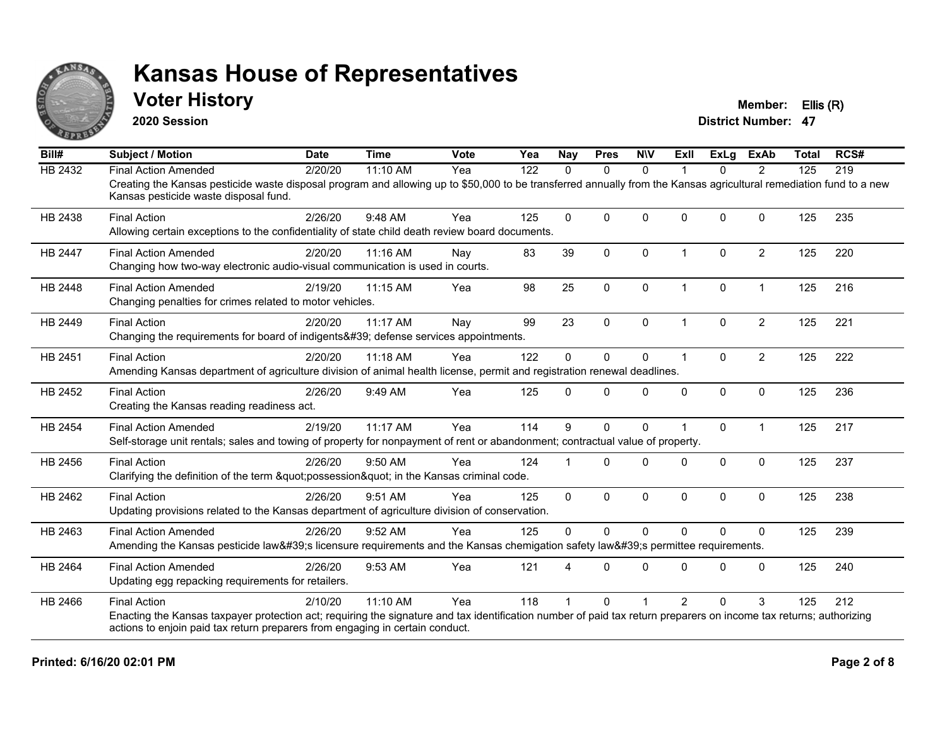

#### **Voter History Member: Ellis (R)**

**2020 Session**

| Bill#          | <b>Subject / Motion</b>                                                                                                                                                                                     | <b>Date</b> | <b>Time</b> | Vote | Yea | <b>Nay</b>  | <b>Pres</b>  | <b>NIV</b>   | ExII                 | <b>ExLg</b> | <b>ExAb</b>    | <b>Total</b> | RCS# |
|----------------|-------------------------------------------------------------------------------------------------------------------------------------------------------------------------------------------------------------|-------------|-------------|------|-----|-------------|--------------|--------------|----------------------|-------------|----------------|--------------|------|
| HB 2432        | <b>Final Action Amended</b>                                                                                                                                                                                 | 2/20/20     | 11:10 AM    | Yea  | 122 | 0           | $\mathbf{0}$ | $\Omega$     |                      | $\Omega$    | 2              | 125          | 219  |
|                | Creating the Kansas pesticide waste disposal program and allowing up to \$50,000 to be transferred annually from the Kansas agricultural remediation fund to a new<br>Kansas pesticide waste disposal fund. |             |             |      |     |             |              |              |                      |             |                |              |      |
| HB 2438        | <b>Final Action</b>                                                                                                                                                                                         | 2/26/20     | 9:48 AM     | Yea  | 125 | $\Omega$    | $\Omega$     | $\Omega$     | $\Omega$             | $\Omega$    | $\Omega$       | 125          | 235  |
|                | Allowing certain exceptions to the confidentiality of state child death review board documents.                                                                                                             |             |             |      |     |             |              |              |                      |             |                |              |      |
| <b>HB 2447</b> | <b>Final Action Amended</b>                                                                                                                                                                                 | 2/20/20     | 11:16 AM    | Nay  | 83  | 39          | $\mathbf{0}$ | $\mathbf{0}$ | $\mathbf{1}$         | $\Omega$    | $\overline{2}$ | 125          | 220  |
|                | Changing how two-way electronic audio-visual communication is used in courts.                                                                                                                               |             |             |      |     |             |              |              |                      |             |                |              |      |
| HB 2448        | <b>Final Action Amended</b>                                                                                                                                                                                 | 2/19/20     | 11:15 AM    | Yea  | 98  | 25          | $\mathbf{0}$ | $\Omega$     | $\blacktriangleleft$ | 0           | $\overline{1}$ | 125          | 216  |
|                | Changing penalties for crimes related to motor vehicles.                                                                                                                                                    |             |             |      |     |             |              |              |                      |             |                |              |      |
| HB 2449        | <b>Final Action</b>                                                                                                                                                                                         | 2/20/20     | 11:17 AM    | Nay  | 99  | 23          | $\mathbf 0$  | $\mathbf 0$  | $\blacktriangleleft$ | $\Omega$    | $\overline{2}$ | 125          | 221  |
|                | Changing the requirements for board of indigents' defense services appointments.                                                                                                                            |             |             |      |     |             |              |              |                      |             |                |              |      |
| HB 2451        | <b>Final Action</b>                                                                                                                                                                                         | 2/20/20     | 11:18 AM    | Yea  | 122 | $\Omega$    | $\mathbf 0$  | $\Omega$     | $\blacktriangleleft$ | $\Omega$    | $\overline{2}$ | 125          | 222  |
|                | Amending Kansas department of agriculture division of animal health license, permit and registration renewal deadlines.                                                                                     |             |             |      |     |             |              |              |                      |             |                |              |      |
| HB 2452        | <b>Final Action</b>                                                                                                                                                                                         | 2/26/20     | 9:49 AM     | Yea  | 125 | $\Omega$    | $\Omega$     | $\Omega$     | $\Omega$             | $\Omega$    | $\mathbf{0}$   | 125          | 236  |
|                | Creating the Kansas reading readiness act.                                                                                                                                                                  |             |             |      |     |             |              |              |                      |             |                |              |      |
| <b>HB 2454</b> | <b>Final Action Amended</b>                                                                                                                                                                                 | 2/19/20     | 11:17 AM    | Yea  | 114 | 9           | $\mathbf{0}$ | $\mathbf{0}$ |                      | $\Omega$    | $\mathbf{1}$   | 125          | 217  |
|                | Self-storage unit rentals; sales and towing of property for nonpayment of rent or abandonment; contractual value of property.                                                                               |             |             |      |     |             |              |              |                      |             |                |              |      |
| HB 2456        | <b>Final Action</b>                                                                                                                                                                                         | 2/26/20     | 9:50 AM     | Yea  | 124 |             | $\Omega$     | $\Omega$     | <sup>0</sup>         | $\Omega$    | $\mathbf{0}$   | 125          | 237  |
|                | Clarifying the definition of the term "possession" in the Kansas criminal code.                                                                                                                             |             |             |      |     |             |              |              |                      |             |                |              |      |
| HB 2462        | <b>Final Action</b>                                                                                                                                                                                         | 2/26/20     | 9:51 AM     | Yea  | 125 | $\mathbf 0$ | $\mathbf 0$  | $\mathbf 0$  | $\Omega$             | 0           | $\mathbf 0$    | 125          | 238  |
|                | Updating provisions related to the Kansas department of agriculture division of conservation.                                                                                                               |             |             |      |     |             |              |              |                      |             |                |              |      |
| HB 2463        | <b>Final Action Amended</b>                                                                                                                                                                                 | 2/26/20     | 9:52 AM     | Yea  | 125 | $\Omega$    | $\Omega$     | $\Omega$     | $\Omega$             | $\Omega$    | $\mathbf{0}$   | 125          | 239  |
|                | Amending the Kansas pesticide law's licensure requirements and the Kansas chemigation safety law's permittee requirements.                                                                                  |             |             |      |     |             |              |              |                      |             |                |              |      |
| HB 2464        | <b>Final Action Amended</b>                                                                                                                                                                                 | 2/26/20     | 9:53 AM     | Yea  | 121 |             | $\Omega$     | $\Omega$     | $\Omega$             | $\Omega$    | $\mathbf{0}$   | 125          | 240  |
|                | Updating egg repacking requirements for retailers.                                                                                                                                                          |             |             |      |     |             |              |              |                      |             |                |              |      |
| HB 2466        | <b>Final Action</b>                                                                                                                                                                                         | 2/10/20     | 11:10 AM    | Yea  | 118 |             | $\Omega$     |              | $\mathcal{P}$        | $\Omega$    | 3              | 125          | 212  |
|                | Enacting the Kansas taxpayer protection act; requiring the signature and tax identification number of paid tax return preparers on income tax returns; authorizing                                          |             |             |      |     |             |              |              |                      |             |                |              |      |
|                | actions to enjoin paid tax return preparers from engaging in certain conduct.                                                                                                                               |             |             |      |     |             |              |              |                      |             |                |              |      |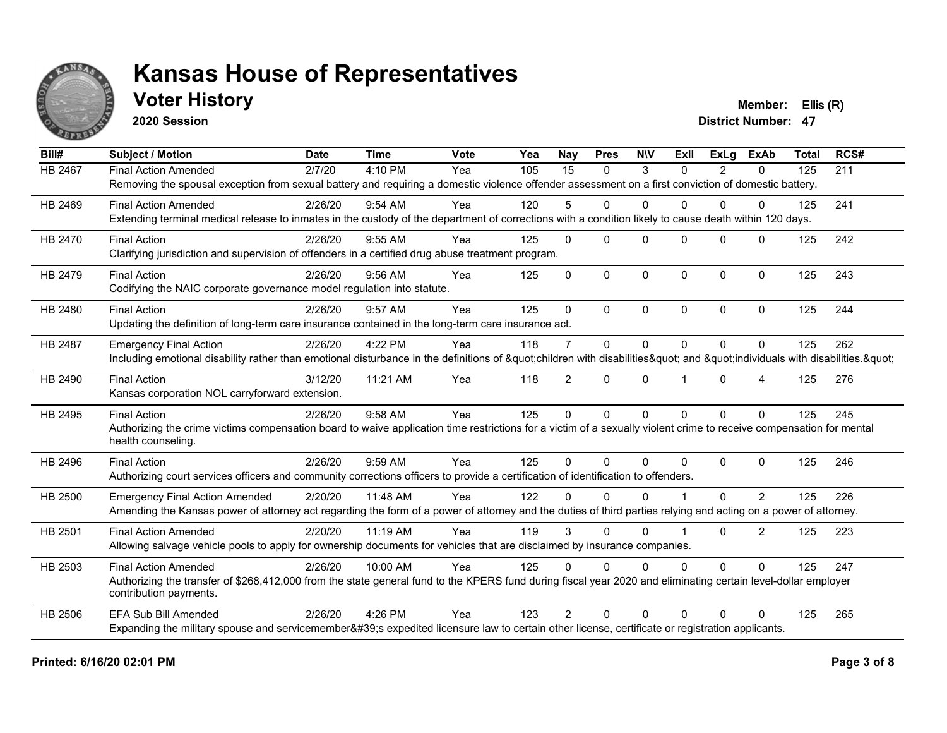

#### **Voter History Member: Ellis (R)**

**2020 Session**

| Bill#   | <b>Subject / Motion</b>                                                                                                                                             | <b>Date</b> | <b>Time</b> | Vote | Yea | Nay            | <b>Pres</b>  | <b>NIV</b>   | ExII           | ExLa           | <b>ExAb</b>    | <b>Total</b> | RCS# |
|---------|---------------------------------------------------------------------------------------------------------------------------------------------------------------------|-------------|-------------|------|-----|----------------|--------------|--------------|----------------|----------------|----------------|--------------|------|
| HB 2467 | <b>Final Action Amended</b>                                                                                                                                         | 2/7/20      | 4:10 PM     | Yea  | 105 | 15             | $\mathbf{0}$ | 3            | $\Omega$       | $\overline{2}$ | 0              | 125          | 211  |
|         | Removing the spousal exception from sexual battery and requiring a domestic violence offender assessment on a first conviction of domestic battery.                 |             |             |      |     |                |              |              |                |                |                |              |      |
| HB 2469 | <b>Final Action Amended</b>                                                                                                                                         | 2/26/20     | 9:54 AM     | Yea  | 120 | 5              | $\Omega$     | $\mathbf{0}$ | 0              | 0              | 0              | 125          | 241  |
|         | Extending terminal medical release to inmates in the custody of the department of corrections with a condition likely to cause death within 120 days.               |             |             |      |     |                |              |              |                |                |                |              |      |
| HB 2470 | <b>Final Action</b>                                                                                                                                                 | 2/26/20     | 9:55 AM     | Yea  | 125 | $\Omega$       | $\Omega$     | $\Omega$     | $\Omega$       | $\Omega$       | $\Omega$       | 125          | 242  |
|         | Clarifying jurisdiction and supervision of offenders in a certified drug abuse treatment program.                                                                   |             |             |      |     |                |              |              |                |                |                |              |      |
| HB 2479 | <b>Final Action</b>                                                                                                                                                 | 2/26/20     | $9:56$ AM   | Yea  | 125 | $\Omega$       | $\Omega$     | $\mathbf 0$  | $\Omega$       | $\Omega$       | $\mathbf{0}$   | 125          | 243  |
|         | Codifying the NAIC corporate governance model regulation into statute.                                                                                              |             |             |      |     |                |              |              |                |                |                |              |      |
| HB 2480 | <b>Final Action</b>                                                                                                                                                 | 2/26/20     | 9:57 AM     | Yea  | 125 | $\Omega$       | $\Omega$     | $\Omega$     | $\Omega$       | $\Omega$       | $\Omega$       | 125          | 244  |
|         | Updating the definition of long-term care insurance contained in the long-term care insurance act.                                                                  |             |             |      |     |                |              |              |                |                |                |              |      |
| HB 2487 | <b>Emergency Final Action</b>                                                                                                                                       | 2/26/20     | 4:22 PM     | Yea  | 118 | $\overline{7}$ | $\Omega$     | $\mathbf{0}$ | $\Omega$       | $\Omega$       | $\Omega$       | 125          | 262  |
|         | Including emotional disability rather than emotional disturbance in the definitions of "children with disabilities" and "individuals with disabilities. "           |             |             |      |     |                |              |              |                |                |                |              |      |
| HB 2490 | <b>Final Action</b>                                                                                                                                                 | 3/12/20     | 11:21 AM    | Yea  | 118 | $\overline{2}$ | $\mathbf{0}$ | $\Omega$     |                | $\Omega$       | 4              | 125          | 276  |
|         | Kansas corporation NOL carryforward extension.                                                                                                                      |             |             |      |     |                |              |              |                |                |                |              |      |
| HB 2495 | <b>Final Action</b>                                                                                                                                                 | 2/26/20     | 9:58 AM     | Yea  | 125 | $\Omega$       | $\Omega$     | $\mathbf{0}$ | $\Omega$       | $\Omega$       | $\Omega$       | 125          | 245  |
|         | Authorizing the crime victims compensation board to waive application time restrictions for a victim of a sexually violent crime to receive compensation for mental |             |             |      |     |                |              |              |                |                |                |              |      |
|         | health counseling.                                                                                                                                                  |             |             |      |     |                |              |              |                |                |                |              |      |
| HB 2496 | <b>Final Action</b>                                                                                                                                                 | 2/26/20     | 9:59 AM     | Yea  | 125 | $\Omega$       | $\Omega$     | $\Omega$     | $\Omega$       | $\Omega$       | $\Omega$       | 125          | 246  |
|         | Authorizing court services officers and community corrections officers to provide a certification of identification to offenders.                                   |             |             |      |     |                |              |              |                |                |                |              |      |
| HB 2500 | <b>Emergency Final Action Amended</b>                                                                                                                               | 2/20/20     | 11:48 AM    | Yea  | 122 | U              | $\Omega$     | $\Omega$     |                | $\Omega$       | 2              | 125          | 226  |
|         | Amending the Kansas power of attorney act regarding the form of a power of attorney and the duties of third parties relying and acting on a power of attorney.      |             |             |      |     |                |              |              |                |                |                |              |      |
| HB 2501 | <b>Final Action Amended</b>                                                                                                                                         | 2/20/20     | 11:19 AM    | Yea  | 119 | 3              | $\Omega$     | $\Omega$     | $\overline{1}$ | $\Omega$       | $\overline{2}$ | 125          | 223  |
|         | Allowing salvage vehicle pools to apply for ownership documents for vehicles that are disclaimed by insurance companies.                                            |             |             |      |     |                |              |              |                |                |                |              |      |
| HB 2503 | <b>Final Action Amended</b>                                                                                                                                         | 2/26/20     | 10:00 AM    | Yea  | 125 | $\Omega$       | $\Omega$     | $\Omega$     | $\Omega$       | $\Omega$       | $\Omega$       | 125          | 247  |
|         | Authorizing the transfer of \$268,412,000 from the state general fund to the KPERS fund during fiscal year 2020 and eliminating certain level-dollar employer       |             |             |      |     |                |              |              |                |                |                |              |      |
|         | contribution payments.                                                                                                                                              |             |             |      |     |                |              |              |                |                |                |              |      |
| HB 2506 | <b>EFA Sub Bill Amended</b>                                                                                                                                         | 2/26/20     | 4:26 PM     | Yea  | 123 | $\mathcal{P}$  | $\Omega$     | $\Omega$     | 0              | 0              | $\Omega$       | 125          | 265  |
|         | Expanding the military spouse and servicemember's expedited licensure law to certain other license, certificate or registration applicants.                         |             |             |      |     |                |              |              |                |                |                |              |      |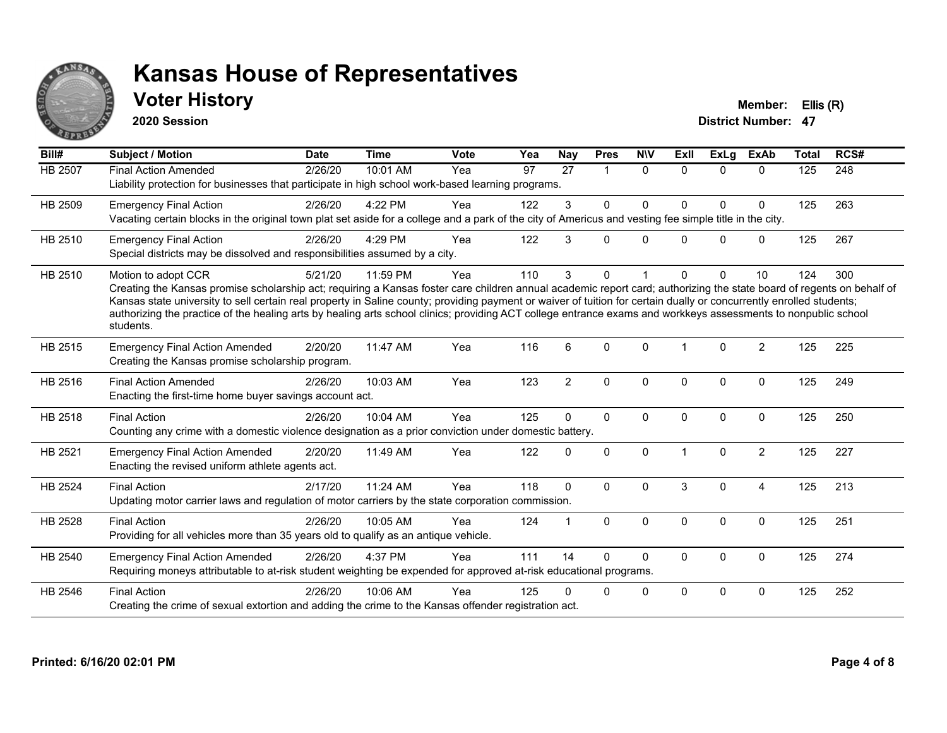

#### **Voter History Member: Ellis (R)**

**2020 Session**

| Bill#          | Subject / Motion                                                                                                                                                                                                                                                                                                                                                                                                                                                                                                                                    | <b>Date</b> | <b>Time</b> | <b>Vote</b> | Yea             | <b>Nay</b>      | <b>Pres</b>          | <b>NIV</b>   | <b>Exll</b> | <b>ExLg</b>  | ExAb           | <b>Total</b> | RCS# |
|----------------|-----------------------------------------------------------------------------------------------------------------------------------------------------------------------------------------------------------------------------------------------------------------------------------------------------------------------------------------------------------------------------------------------------------------------------------------------------------------------------------------------------------------------------------------------------|-------------|-------------|-------------|-----------------|-----------------|----------------------|--------------|-------------|--------------|----------------|--------------|------|
| <b>HB 2507</b> | <b>Final Action Amended</b><br>Liability protection for businesses that participate in high school work-based learning programs.                                                                                                                                                                                                                                                                                                                                                                                                                    | 2/26/20     | 10:01 AM    | Yea         | $\overline{97}$ | $\overline{27}$ | $\blacktriangleleft$ | $\mathbf{0}$ | $\Omega$    | $\Omega$     | $\Omega$       | 125          | 248  |
| HB 2509        | <b>Emergency Final Action</b><br>Vacating certain blocks in the original town plat set aside for a college and a park of the city of Americus and vesting fee simple title in the city.                                                                                                                                                                                                                                                                                                                                                             | 2/26/20     | 4:22 PM     | Yea         | 122             | 3               | $\mathbf 0$          | 0            | 0           | $\Omega$     | $\mathbf 0$    | 125          | 263  |
| HB 2510        | <b>Emergency Final Action</b><br>Special districts may be dissolved and responsibilities assumed by a city.                                                                                                                                                                                                                                                                                                                                                                                                                                         | 2/26/20     | 4:29 PM     | Yea         | 122             | 3               | $\Omega$             | $\Omega$     | $\Omega$    | $\Omega$     | $\mathbf 0$    | 125          | 267  |
| HB 2510        | Motion to adopt CCR<br>Creating the Kansas promise scholarship act; requiring a Kansas foster care children annual academic report card; authorizing the state board of regents on behalf of<br>Kansas state university to sell certain real property in Saline county; providing payment or waiver of tuition for certain dually or concurrently enrolled students;<br>authorizing the practice of the healing arts by healing arts school clinics; providing ACT college entrance exams and workkeys assessments to nonpublic school<br>students. | 5/21/20     | 11:59 PM    | Yea         | 110             | 3               | $\mathbf{0}$         |              | 0           | 0            | 10             | 124          | 300  |
| HB 2515        | <b>Emergency Final Action Amended</b><br>Creating the Kansas promise scholarship program.                                                                                                                                                                                                                                                                                                                                                                                                                                                           | 2/20/20     | 11:47 AM    | Yea         | 116             | 6               | $\Omega$             | $\Omega$     |             | $\Omega$     | $\overline{2}$ | 125          | 225  |
| HB 2516        | <b>Final Action Amended</b><br>Enacting the first-time home buyer savings account act.                                                                                                                                                                                                                                                                                                                                                                                                                                                              | 2/26/20     | 10:03 AM    | Yea         | 123             | $\overline{2}$  | $\mathbf 0$          | $\mathbf 0$  | $\Omega$    | $\Omega$     | $\mathbf 0$    | 125          | 249  |
| HB 2518        | <b>Final Action</b><br>Counting any crime with a domestic violence designation as a prior conviction under domestic battery.                                                                                                                                                                                                                                                                                                                                                                                                                        | 2/26/20     | 10:04 AM    | Yea         | 125             | $\Omega$        | $\mathbf 0$          | $\mathbf 0$  | 0           | 0            | $\mathbf 0$    | 125          | 250  |
| HB 2521        | <b>Emergency Final Action Amended</b><br>Enacting the revised uniform athlete agents act.                                                                                                                                                                                                                                                                                                                                                                                                                                                           | 2/20/20     | 11:49 AM    | Yea         | 122             | $\Omega$        | $\mathbf 0$          | $\Omega$     |             | $\mathbf{0}$ | $\overline{2}$ | 125          | 227  |
| <b>HB 2524</b> | <b>Final Action</b><br>Updating motor carrier laws and regulation of motor carriers by the state corporation commission.                                                                                                                                                                                                                                                                                                                                                                                                                            | 2/17/20     | 11:24 AM    | Yea         | 118             | $\mathbf{0}$    | $\Omega$             | $\Omega$     | 3           | $\Omega$     | $\overline{4}$ | 125          | 213  |
| HB 2528        | <b>Final Action</b><br>Providing for all vehicles more than 35 years old to qualify as an antique vehicle.                                                                                                                                                                                                                                                                                                                                                                                                                                          | 2/26/20     | 10:05 AM    | Yea         | 124             |                 | $\mathbf{0}$         | $\Omega$     | $\Omega$    | $\Omega$     | $\Omega$       | 125          | 251  |
| HB 2540        | <b>Emergency Final Action Amended</b><br>Requiring moneys attributable to at-risk student weighting be expended for approved at-risk educational programs.                                                                                                                                                                                                                                                                                                                                                                                          | 2/26/20     | 4:37 PM     | Yea         | 111             | 14              | $\Omega$             | $\Omega$     | $\Omega$    | $\Omega$     | $\Omega$       | 125          | 274  |
| HB 2546        | <b>Final Action</b><br>Creating the crime of sexual extortion and adding the crime to the Kansas offender registration act.                                                                                                                                                                                                                                                                                                                                                                                                                         | 2/26/20     | 10:06 AM    | Yea         | 125             |                 | $\Omega$             | $\mathbf 0$  | $\Omega$    | $\Omega$     | 0              | 125          | 252  |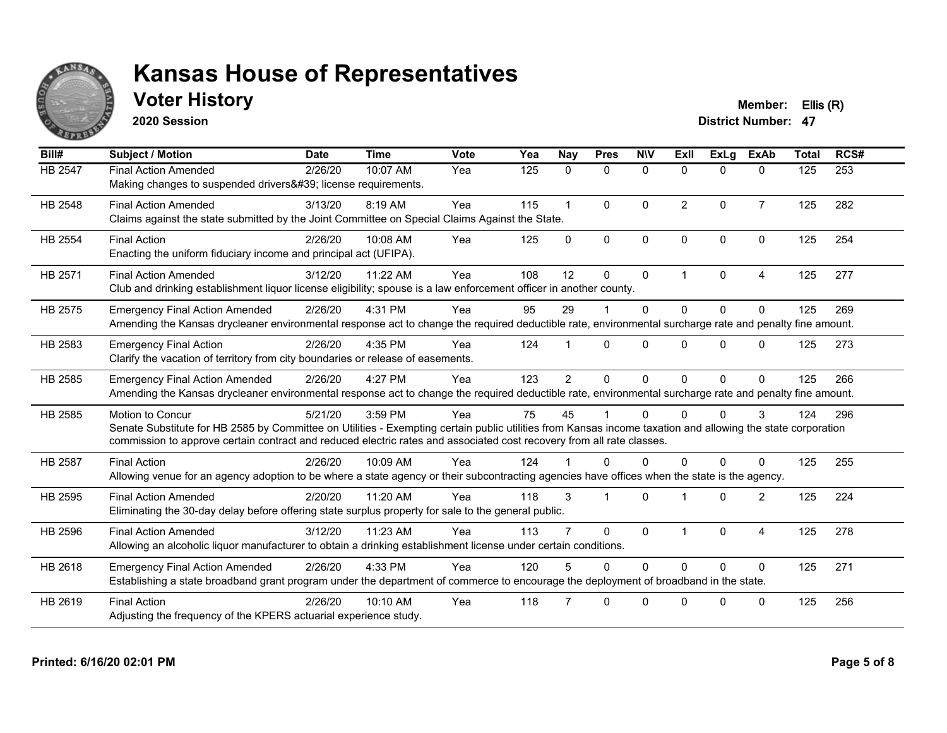

### **Voter History Member: Ellis (R)**

**2020 Session**

| Bill#          | <b>Subject / Motion</b>                                                                                                                                                                                                                                                                                  | <b>Date</b> | <b>Time</b> | Vote | Yea | Nay            | <b>Pres</b>          | <b>NIV</b>   | ExII                 | <b>ExLa</b>  | <b>ExAb</b>    | <b>Total</b> | RCS# |
|----------------|----------------------------------------------------------------------------------------------------------------------------------------------------------------------------------------------------------------------------------------------------------------------------------------------------------|-------------|-------------|------|-----|----------------|----------------------|--------------|----------------------|--------------|----------------|--------------|------|
| HB 2547        | <b>Final Action Amended</b><br>Making changes to suspended drivers' license requirements.                                                                                                                                                                                                                | 2/26/20     | 10:07 AM    | Yea  | 125 | $\mathbf{0}$   | $\Omega$             | $\Omega$     | $\Omega$             | $\mathbf{0}$ | $\mathbf{0}$   | 125          | 253  |
| HB 2548        | <b>Final Action Amended</b><br>Claims against the state submitted by the Joint Committee on Special Claims Against the State.                                                                                                                                                                            | 3/13/20     | 8:19 AM     | Yea  | 115 | $\mathbf{1}$   | $\mathbf{0}$         | $\mathbf{0}$ | $\overline{2}$       | $\Omega$     | $\overline{7}$ | 125          | 282  |
| <b>HB 2554</b> | <b>Final Action</b><br>Enacting the uniform fiduciary income and principal act (UFIPA).                                                                                                                                                                                                                  | 2/26/20     | 10:08 AM    | Yea  | 125 | $\Omega$       | $\Omega$             | $\mathbf{0}$ | $\Omega$             | $\Omega$     | $\Omega$       | 125          | 254  |
| HB 2571        | <b>Final Action Amended</b><br>Club and drinking establishment liquor license eligibility; spouse is a law enforcement officer in another county.                                                                                                                                                        | 3/12/20     | 11:22 AM    | Yea  | 108 | 12             | $\mathbf{0}$         | $\mathbf{0}$ | $\blacktriangleleft$ | $\Omega$     | 4              | 125          | 277  |
| HB 2575        | <b>Emergency Final Action Amended</b><br>Amending the Kansas drycleaner environmental response act to change the required deductible rate, environmental surcharge rate and penalty fine amount.                                                                                                         | 2/26/20     | 4:31 PM     | Yea  | 95  | 29             |                      | $\mathbf{0}$ | $\Omega$             | $\Omega$     | $\mathbf{0}$   | 125          | 269  |
| HB 2583        | <b>Emergency Final Action</b><br>Clarify the vacation of territory from city boundaries or release of easements.                                                                                                                                                                                         | 2/26/20     | 4:35 PM     | Yea  | 124 |                | $\mathbf{0}$         | $\Omega$     | $\Omega$             | $\Omega$     | $\Omega$       | 125          | 273  |
| HB 2585        | <b>Emergency Final Action Amended</b><br>Amending the Kansas drycleaner environmental response act to change the required deductible rate, environmental surcharge rate and penalty fine amount.                                                                                                         | 2/26/20     | 4:27 PM     | Yea  | 123 | $\overline{2}$ | $\Omega$             | $\Omega$     | $\Omega$             | $\Omega$     | $\Omega$       | 125          | 266  |
| HB 2585        | Motion to Concur<br>Senate Substitute for HB 2585 by Committee on Utilities - Exempting certain public utilities from Kansas income taxation and allowing the state corporation<br>commission to approve certain contract and reduced electric rates and associated cost recovery from all rate classes. | 5/21/20     | 3:59 PM     | Yea  | 75  | 45             |                      | $\Omega$     | <sup>0</sup>         | $\Omega$     | 3              | 124          | 296  |
| <b>HB 2587</b> | <b>Final Action</b><br>Allowing venue for an agency adoption to be where a state agency or their subcontracting agencies have offices when the state is the agency.                                                                                                                                      | 2/26/20     | 10:09 AM    | Yea  | 124 |                | $\Omega$             | 0            | <sup>n</sup>         | $\Omega$     | $\Omega$       | 125          | 255  |
| HB 2595        | <b>Final Action Amended</b><br>Eliminating the 30-day delay before offering state surplus property for sale to the general public.                                                                                                                                                                       | 2/20/20     | 11:20 AM    | Yea  | 118 | 3              | $\blacktriangleleft$ | $\Omega$     |                      | $\Omega$     | 2              | 125          | 224  |
| HB 2596        | <b>Final Action Amended</b><br>Allowing an alcoholic liquor manufacturer to obtain a drinking establishment license under certain conditions.                                                                                                                                                            | 3/12/20     | 11:23 AM    | Yea  | 113 |                | $\Omega$             | $\Omega$     | 1                    | $\Omega$     | $\overline{A}$ | 125          | 278  |
| HB 2618        | <b>Emergency Final Action Amended</b><br>Establishing a state broadband grant program under the department of commerce to encourage the deployment of broadband in the state.                                                                                                                            | 2/26/20     | 4:33 PM     | Yea  | 120 | 5              | $\Omega$             | $\Omega$     | $\Omega$             | $\Omega$     | $\mathbf{0}$   | 125          | 271  |
| HB 2619        | <b>Final Action</b><br>Adjusting the frequency of the KPERS actuarial experience study.                                                                                                                                                                                                                  | 2/26/20     | 10:10 AM    | Yea  | 118 |                | $\Omega$             | $\Omega$     | $\Omega$             | $\Omega$     | $\Omega$       | 125          | 256  |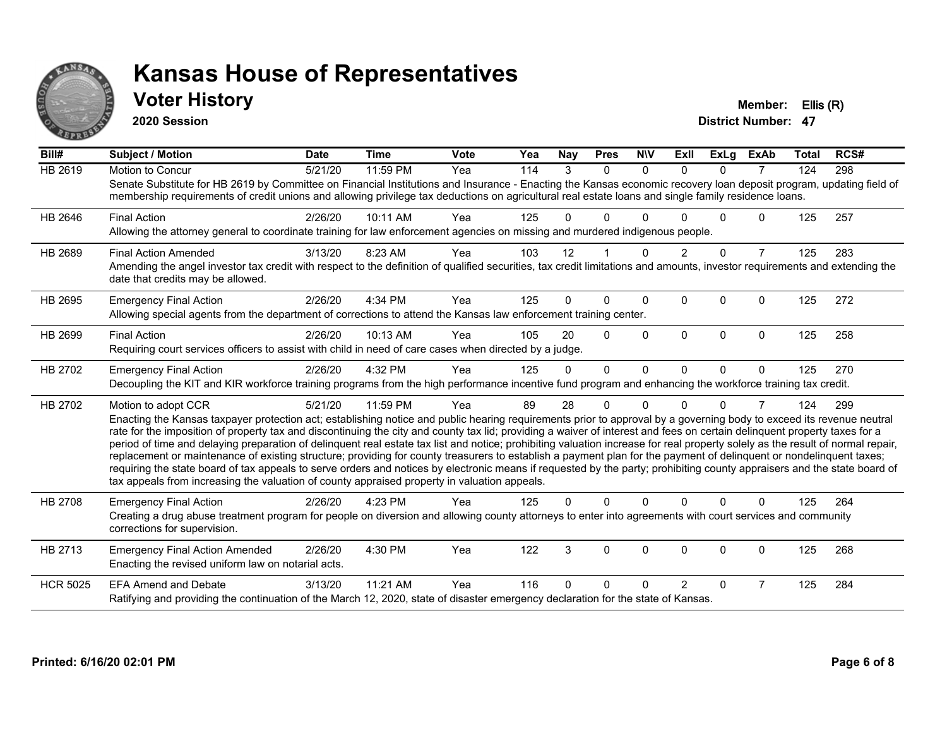

#### **Voter History Member: Ellis (R)**

**2020 Session**

| Bill#           | Subject / Motion                                                                                                                                                                                                                                                                                                                                                                                                                                                                                                                                                                                                                                                                                                                                                                                                                                                                                                                                                                                              | <b>Date</b> | <b>Time</b> | Vote | Yea | Nay      | <b>Pres</b> | <b>NIV</b> | ExII           | <b>ExLg</b> | <b>ExAb</b>    | <b>Total</b> | RCS# |
|-----------------|---------------------------------------------------------------------------------------------------------------------------------------------------------------------------------------------------------------------------------------------------------------------------------------------------------------------------------------------------------------------------------------------------------------------------------------------------------------------------------------------------------------------------------------------------------------------------------------------------------------------------------------------------------------------------------------------------------------------------------------------------------------------------------------------------------------------------------------------------------------------------------------------------------------------------------------------------------------------------------------------------------------|-------------|-------------|------|-----|----------|-------------|------------|----------------|-------------|----------------|--------------|------|
| <b>HB 2619</b>  | <b>Motion to Concur</b><br>Senate Substitute for HB 2619 by Committee on Financial Institutions and Insurance - Enacting the Kansas economic recovery loan deposit program, updating field of<br>membership requirements of credit unions and allowing privilege tax deductions on agricultural real estate loans and single family residence loans.                                                                                                                                                                                                                                                                                                                                                                                                                                                                                                                                                                                                                                                          | 5/21/20     | 11:59 PM    | Yea  | 114 | 3        | $\Omega$    | $\Omega$   | $\Omega$       | $\Omega$    | $\overline{7}$ | 124          | 298  |
| HB 2646         | <b>Final Action</b><br>Allowing the attorney general to coordinate training for law enforcement agencies on missing and murdered indigenous people.                                                                                                                                                                                                                                                                                                                                                                                                                                                                                                                                                                                                                                                                                                                                                                                                                                                           | 2/26/20     | 10:11 AM    | Yea  | 125 | 0        | 0           |            |                | 0           | $\mathbf{0}$   | 125          | 257  |
| HB 2689         | <b>Final Action Amended</b><br>Amending the angel investor tax credit with respect to the definition of qualified securities, tax credit limitations and amounts, investor requirements and extending the<br>date that credits may be allowed.                                                                                                                                                                                                                                                                                                                                                                                                                                                                                                                                                                                                                                                                                                                                                                | 3/13/20     | 8:23 AM     | Yea  | 103 | 12       |             | 0          | $\overline{2}$ | $\Omega$    | $\overline{7}$ | 125          | 283  |
| HB 2695         | <b>Emergency Final Action</b><br>Allowing special agents from the department of corrections to attend the Kansas law enforcement training center.                                                                                                                                                                                                                                                                                                                                                                                                                                                                                                                                                                                                                                                                                                                                                                                                                                                             | 2/26/20     | 4:34 PM     | Yea  | 125 | 0        | 0           | $\Omega$   | $\Omega$       | $\Omega$    | $\Omega$       | 125          | 272  |
| HB 2699         | <b>Final Action</b><br>Requiring court services officers to assist with child in need of care cases when directed by a judge.                                                                                                                                                                                                                                                                                                                                                                                                                                                                                                                                                                                                                                                                                                                                                                                                                                                                                 | 2/26/20     | 10:13 AM    | Yea  | 105 | 20       | $\Omega$    | $\Omega$   | $\Omega$       | $\Omega$    | $\Omega$       | 125          | 258  |
| HB 2702         | <b>Emergency Final Action</b><br>Decoupling the KIT and KIR workforce training programs from the high performance incentive fund program and enhancing the workforce training tax credit.                                                                                                                                                                                                                                                                                                                                                                                                                                                                                                                                                                                                                                                                                                                                                                                                                     | 2/26/20     | 4:32 PM     | Yea  | 125 | $\Omega$ | $\Omega$    | $\Omega$   | $\Omega$       | $\Omega$    | $\Omega$       | 125          | 270  |
| HB 2702         | Motion to adopt CCR<br>Enacting the Kansas taxpayer protection act; establishing notice and public hearing requirements prior to approval by a governing body to exceed its revenue neutral<br>rate for the imposition of property tax and discontinuing the city and county tax lid; providing a waiver of interest and fees on certain delinquent property taxes for a<br>period of time and delaying preparation of delinquent real estate tax list and notice; prohibiting valuation increase for real property solely as the result of normal repair,<br>replacement or maintenance of existing structure; providing for county treasurers to establish a payment plan for the payment of delinquent or nondelinquent taxes;<br>requiring the state board of tax appeals to serve orders and notices by electronic means if requested by the party; prohibiting county appraisers and the state board of<br>tax appeals from increasing the valuation of county appraised property in valuation appeals. | 5/21/20     | 11:59 PM    | Yea  | 89  | 28       | 0           | $\Omega$   | n              | $\Omega$    | 7              | 124          | 299  |
| <b>HB 2708</b>  | <b>Emergency Final Action</b><br>Creating a drug abuse treatment program for people on diversion and allowing county attorneys to enter into agreements with court services and community<br>corrections for supervision.                                                                                                                                                                                                                                                                                                                                                                                                                                                                                                                                                                                                                                                                                                                                                                                     | 2/26/20     | 4:23 PM     | Yea  | 125 | 0        | 0           | $\Omega$   | $\Omega$       | $\Omega$    | 0              | 125          | 264  |
| HB 2713         | <b>Emergency Final Action Amended</b><br>Enacting the revised uniform law on notarial acts.                                                                                                                                                                                                                                                                                                                                                                                                                                                                                                                                                                                                                                                                                                                                                                                                                                                                                                                   | 2/26/20     | 4:30 PM     | Yea  | 122 | 3        | 0           | $\Omega$   | $\Omega$       | $\Omega$    | 0              | 125          | 268  |
| <b>HCR 5025</b> | <b>EFA Amend and Debate</b><br>Ratifying and providing the continuation of the March 12, 2020, state of disaster emergency declaration for the state of Kansas.                                                                                                                                                                                                                                                                                                                                                                                                                                                                                                                                                                                                                                                                                                                                                                                                                                               | 3/13/20     | 11:21 AM    | Yea  | 116 | 0        | 0           | n          | $\overline{2}$ | $\Omega$    | 7              | 125          | 284  |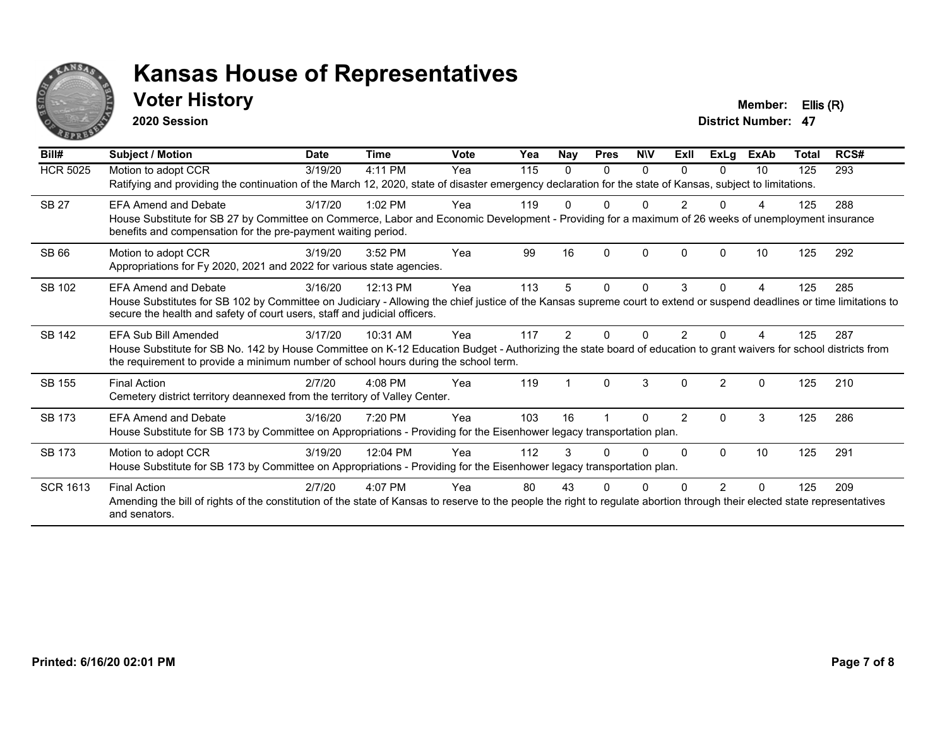

#### **Voter History Member: Ellis (R)**

**2020 Session**

| Bill#           | Subject / Motion                                                                                                                                                                                                                                         | <b>Date</b> | <b>Time</b> | <b>Vote</b> | Yea | Nay           | <b>Pres</b> | <b>NIV</b> | ExII           | ExLg         | <b>ExAb</b> | <b>Total</b> | RCS# |
|-----------------|----------------------------------------------------------------------------------------------------------------------------------------------------------------------------------------------------------------------------------------------------------|-------------|-------------|-------------|-----|---------------|-------------|------------|----------------|--------------|-------------|--------------|------|
| <b>HCR 5025</b> | Motion to adopt CCR                                                                                                                                                                                                                                      | 3/19/20     | 4:11 PM     | Yea         | 115 | 0             | $\Omega$    | 0          | $\Omega$       | $\Omega$     | 10          | 125          | 293  |
|                 | Ratifying and providing the continuation of the March 12, 2020, state of disaster emergency declaration for the state of Kansas, subject to limitations.                                                                                                 |             |             |             |     |               |             |            |                |              |             |              |      |
| <b>SB 27</b>    | <b>EFA Amend and Debate</b>                                                                                                                                                                                                                              | 3/17/20     | $1:02$ PM   | Yea         | 119 |               | n           | U          |                |              |             | 125          | 288  |
|                 | House Substitute for SB 27 by Committee on Commerce, Labor and Economic Development - Providing for a maximum of 26 weeks of unemployment insurance<br>benefits and compensation for the pre-payment waiting period.                                     |             |             |             |     |               |             |            |                |              |             |              |      |
| SB 66           | Motion to adopt CCR                                                                                                                                                                                                                                      | 3/19/20     | 3:52 PM     | Yea         | 99  | 16            | $\Omega$    | $\Omega$   | $\Omega$       | $\Omega$     | 10          | 125          | 292  |
|                 | Appropriations for Fy 2020, 2021 and 2022 for various state agencies.                                                                                                                                                                                    |             |             |             |     |               |             |            |                |              |             |              |      |
| SB 102          | <b>EFA Amend and Debate</b>                                                                                                                                                                                                                              | 3/16/20     | 12:13 PM    | Yea         | 113 | 5             | $\Omega$    | $\Omega$   | 3              | $\Omega$     | 4           | 125          | 285  |
|                 | House Substitutes for SB 102 by Committee on Judiciary - Allowing the chief justice of the Kansas supreme court to extend or suspend deadlines or time limitations to<br>secure the health and safety of court users, staff and judicial officers.       |             |             |             |     |               |             |            |                |              |             |              |      |
| <b>SB 142</b>   | EFA Sub Bill Amended                                                                                                                                                                                                                                     | 3/17/20     | 10:31 AM    | Yea         | 117 | $\mathcal{P}$ | ŋ           | 0          | 2              |              |             | 125          | 287  |
|                 | House Substitute for SB No. 142 by House Committee on K-12 Education Budget - Authorizing the state board of education to grant waivers for school districts from<br>the requirement to provide a minimum number of school hours during the school term. |             |             |             |     |               |             |            |                |              |             |              |      |
| SB 155          | <b>Final Action</b>                                                                                                                                                                                                                                      | 2/7/20      | $4:08$ PM   | Yea         | 119 |               | $\Omega$    | 3          | $\Omega$       | 2            | 0           | 125          | 210  |
|                 | Cemetery district territory deannexed from the territory of Valley Center.                                                                                                                                                                               |             |             |             |     |               |             |            |                |              |             |              |      |
| <b>SB 173</b>   | <b>EFA Amend and Debate</b>                                                                                                                                                                                                                              | 3/16/20     | 7:20 PM     | Yea         | 103 | 16            |             | 0          | $\overline{2}$ | $\mathbf{0}$ | 3           | 125          | 286  |
|                 | House Substitute for SB 173 by Committee on Appropriations - Providing for the Eisenhower legacy transportation plan.                                                                                                                                    |             |             |             |     |               |             |            |                |              |             |              |      |
| SB 173          | Motion to adopt CCR                                                                                                                                                                                                                                      | 3/19/20     | 12:04 PM    | Yea         | 112 | 3             |             | 0          | $\Omega$       | $\Omega$     | 10          | 125          | 291  |
|                 | House Substitute for SB 173 by Committee on Appropriations - Providing for the Eisenhower legacy transportation plan.                                                                                                                                    |             |             |             |     |               |             |            |                |              |             |              |      |
| <b>SCR 1613</b> | <b>Final Action</b>                                                                                                                                                                                                                                      | 2/7/20      | 4:07 PM     | Yea         | 80  | 43            |             |            |                |              |             | 125          | 209  |
|                 | Amending the bill of rights of the constitution of the state of Kansas to reserve to the people the right to regulate abortion through their elected state representatives<br>and senators.                                                              |             |             |             |     |               |             |            |                |              |             |              |      |